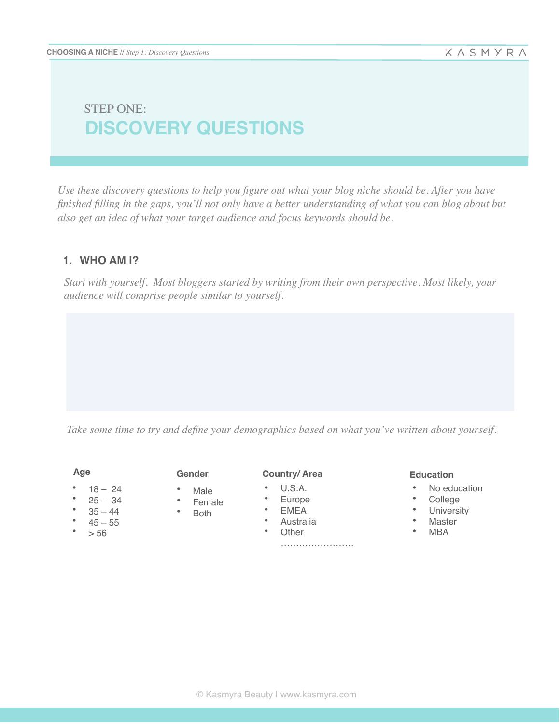# **DISCOVERY QUESTIONS** STEP ONE:

*Use these discovery questions to help you figure out what your blog niche should be. After you have finished filling in the gaps, you'll not only have a better understanding of what you can blog about but also get an idea of what your target audience and focus keywords should be.*

## **1. WHO AM I?**

*Start with yourself. Most bloggers started by writing from their own perspective. Most likely, your audience will comprise people similar to yourself.*

*Take some time to try and define your demographics based on what you've written about yourself.*

**Age**

- $18 24$
- $25 34$
- $35 44$
- $45 55$
- $\bullet$  > 56

**Gender**

- Male
- Female
- Both
- 
- **Country/ Area**
- U.S.A.
- Europe
- EMEA
- Australia
- Other

…………………………

#### **Education**

- No education
- College
- University
- Master
	- MBA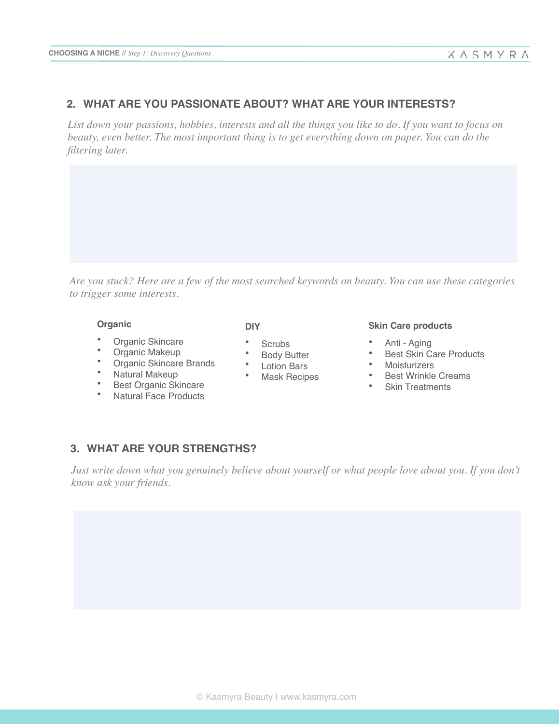## **2. WHAT ARE YOU PASSIONATE ABOUT? WHAT ARE YOUR INTERESTS?**

*List down your passions, hobbies, interests and all the things you like to do. If you want to focus on beauty, even better. The most important thing is to get everything down on paper. You can do the filtering later.*

*Are you stuck? Here are a few of the most searched keywords on beauty. You can use these categories to trigger some interests.*

#### **Organic**

- Organic Skincare
- Organic Makeup
- Organic Skincare Brands
- Natural Makeup
- Best Organic Skincare
- Natural Face Products

#### **DIY**

- Scrubs
- Body Butter
- Lotion Bars
- Mask Recipes

#### **Skin Care products**

- Anti Aging
- Best Skin Care Products
- Moisturizers
- Best Wrinkle Creams
- Skin Treatments

## **3. WHAT ARE YOUR STRENGTHS?**

*Just write down what you genuinely believe about yourself or what people love about you. If you don't know ask your friends.*